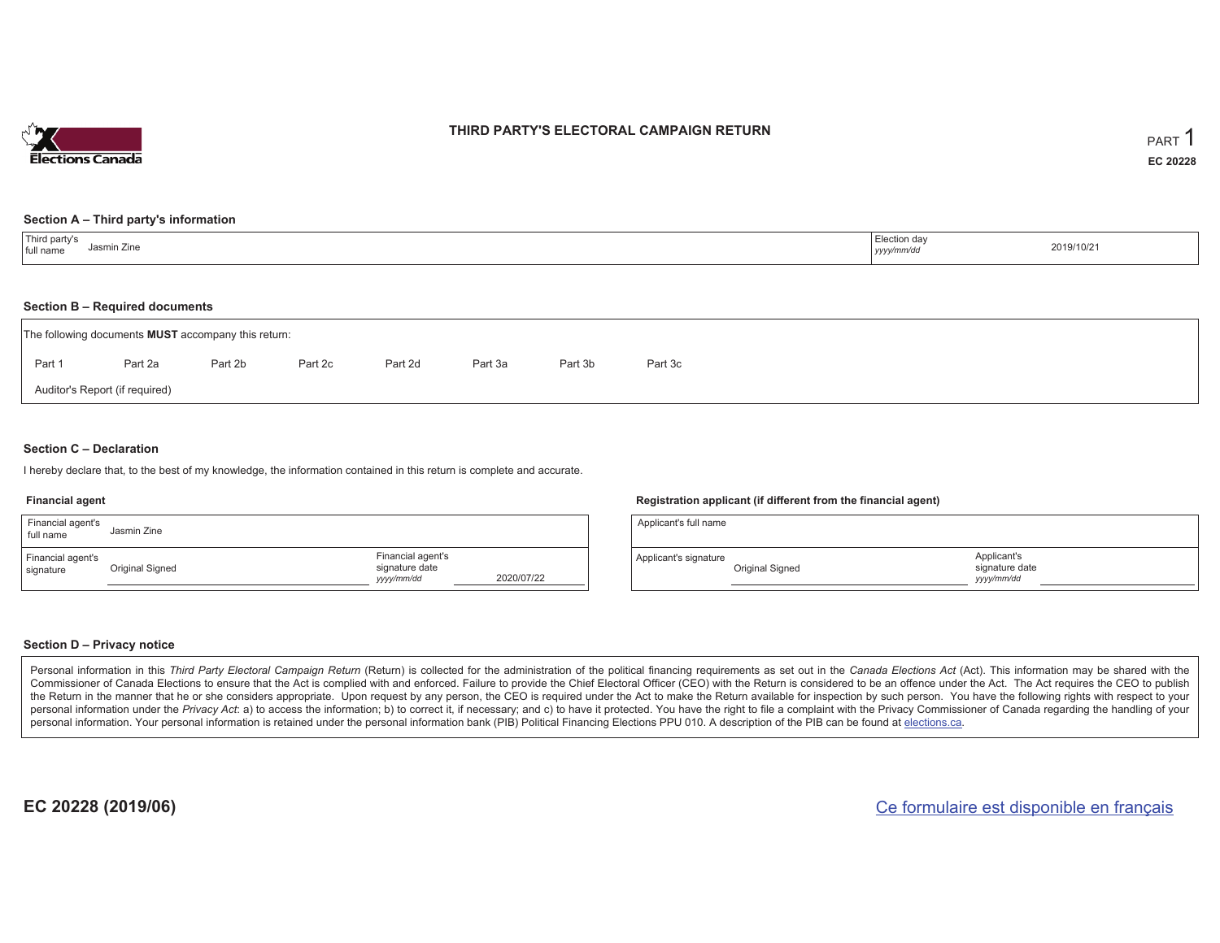

## **THIRD PARTY'S ELECTORAL CAMPAIGN RETURN**

#### **Section A – Third party's information**

| <sup>1</sup> Third party's<br>$\overline{\phantom{a}}$<br>Jasmin Zine<br>full name | Election day<br>yyyy/mm/dd | 2019/10/21 |
|------------------------------------------------------------------------------------|----------------------------|------------|
|------------------------------------------------------------------------------------|----------------------------|------------|

### **Section B – Required documents**

|        | The following documents <b>MUST</b> accompany this return: |         |         |         |         |         |         |
|--------|------------------------------------------------------------|---------|---------|---------|---------|---------|---------|
| Part 1 | Part 2a                                                    | Part 2b | Part 2c | Part 2d | Part 3a | Part 3b | Part 3c |
|        | Auditor's Report (if required)                             |         |         |         |         |         |         |

### **Section C – Declaration**

I hereby declare that, to the best of my knowledge, the information contained in this return is complete and accurate.

#### **Financial agent**

| Financial agent's<br>full name | Jasmin Zine     |                                                  |            |
|--------------------------------|-----------------|--------------------------------------------------|------------|
| Financial agent's<br>signature | Original Signed | Financial agent's<br>signature date<br>yyy/mm/dd | 2020/07/22 |

### **Registration applicant (if different from the financial agent)**

| Applicant's full name |                 |                                             |  |
|-----------------------|-----------------|---------------------------------------------|--|
| Applicant's signature | Original Signed | Applicant's<br>signature date<br>vyyy/mm/dd |  |

### **Section D – Privacy notice**

Personal information in this Third Party Electoral Campaign Return (Return) is collected for the administration of the political financing requirements as set out in the Canada Elections Act (Act). This information may be Commissioner of Canada Elections to ensure that the Act is complied with and enforced. Failure to provide the Chief Electoral Officer (CEO) with the Return is considered to be an offence under the Act. The Act requires the the Return in the manner that he or she considers appropriate. Upon request by any person, the CEO is required under the Act to make the Return available for inspection by such person. You have the following rights with re personal information under the Privacy Act: a) to access the information; b) to correct it, if necessary; and c) to have it protected. You have the right to file a complaint with the Privacy Commissioner of Canada regardin personal information. Your personal information is retained under the personal information bank (PIB) Political Financing Elections PPU 010. A description of the PIB can be found at elections.ca.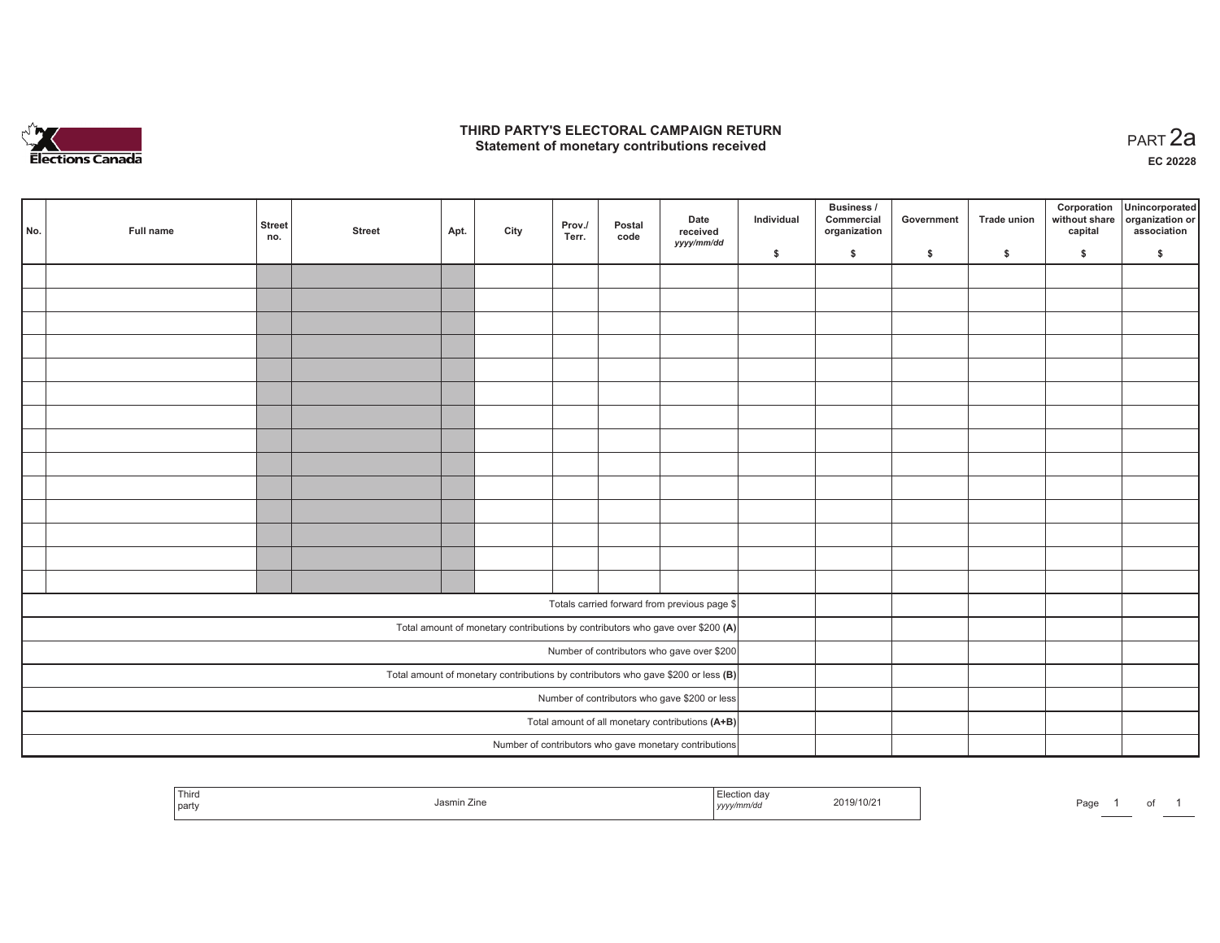

## **THIRD PARTY'S ELECTORAL CAMPAIGN RETURN HIRD PARTY'S ELECTORAL CAMPAIGN RETURN<br>Statement of monetary contributions received PART 2a**

**EC 20228**

| No. | Full name | <b>Street</b><br>no. | <b>Street</b> | Apt. | City | Prov./<br>Terr. | Postal<br>code | Date<br>received<br>yyyy/mm/dd                                                      | Individual | Business /<br>Commercial<br>organization | Government | Trade union | Corporation<br>without share<br>capital | Unincorporated<br>organization or<br>association |
|-----|-----------|----------------------|---------------|------|------|-----------------|----------------|-------------------------------------------------------------------------------------|------------|------------------------------------------|------------|-------------|-----------------------------------------|--------------------------------------------------|
|     |           |                      |               |      |      |                 |                |                                                                                     | \$         | \$                                       | \$         | \$          | \$                                      | \$                                               |
|     |           |                      |               |      |      |                 |                |                                                                                     |            |                                          |            |             |                                         |                                                  |
|     |           |                      |               |      |      |                 |                |                                                                                     |            |                                          |            |             |                                         |                                                  |
|     |           |                      |               |      |      |                 |                |                                                                                     |            |                                          |            |             |                                         |                                                  |
|     |           |                      |               |      |      |                 |                |                                                                                     |            |                                          |            |             |                                         |                                                  |
|     |           |                      |               |      |      |                 |                |                                                                                     |            |                                          |            |             |                                         |                                                  |
|     |           |                      |               |      |      |                 |                |                                                                                     |            |                                          |            |             |                                         |                                                  |
|     |           |                      |               |      |      |                 |                |                                                                                     |            |                                          |            |             |                                         |                                                  |
|     |           |                      |               |      |      |                 |                |                                                                                     |            |                                          |            |             |                                         |                                                  |
|     |           |                      |               |      |      |                 |                |                                                                                     |            |                                          |            |             |                                         |                                                  |
|     |           |                      |               |      |      |                 |                |                                                                                     |            |                                          |            |             |                                         |                                                  |
|     |           |                      |               |      |      |                 |                |                                                                                     |            |                                          |            |             |                                         |                                                  |
|     |           |                      |               |      |      |                 |                |                                                                                     |            |                                          |            |             |                                         |                                                  |
|     |           |                      |               |      |      |                 |                |                                                                                     |            |                                          |            |             |                                         |                                                  |
|     |           |                      |               |      |      |                 |                |                                                                                     |            |                                          |            |             |                                         |                                                  |
|     |           |                      |               |      |      |                 |                | Totals carried forward from previous page \$                                        |            |                                          |            |             |                                         |                                                  |
|     |           |                      |               |      |      |                 |                | Total amount of monetary contributions by contributors who gave over \$200 (A)      |            |                                          |            |             |                                         |                                                  |
|     |           |                      |               |      |      |                 |                | Number of contributors who gave over \$200                                          |            |                                          |            |             |                                         |                                                  |
|     |           |                      |               |      |      |                 |                | Total amount of monetary contributions by contributors who gave \$200 or less $(B)$ |            |                                          |            |             |                                         |                                                  |
|     |           |                      |               |      |      |                 |                | Number of contributors who gave \$200 or less                                       |            |                                          |            |             |                                         |                                                  |
|     |           |                      |               |      |      |                 |                | Total amount of all monetary contributions (A+B)                                    |            |                                          |            |             |                                         |                                                  |
|     |           |                      |               |      |      |                 |                | Number of contributors who gave monetary contributions                              |            |                                          |            |             |                                         |                                                  |

| $\overline{\phantom{m}}$<br>Third<br>aa.<br>2019/10/2<br>Jasmin Zin<br>`part\ | ⊃aɑ∈ |  |  |  |  |
|-------------------------------------------------------------------------------|------|--|--|--|--|
|-------------------------------------------------------------------------------|------|--|--|--|--|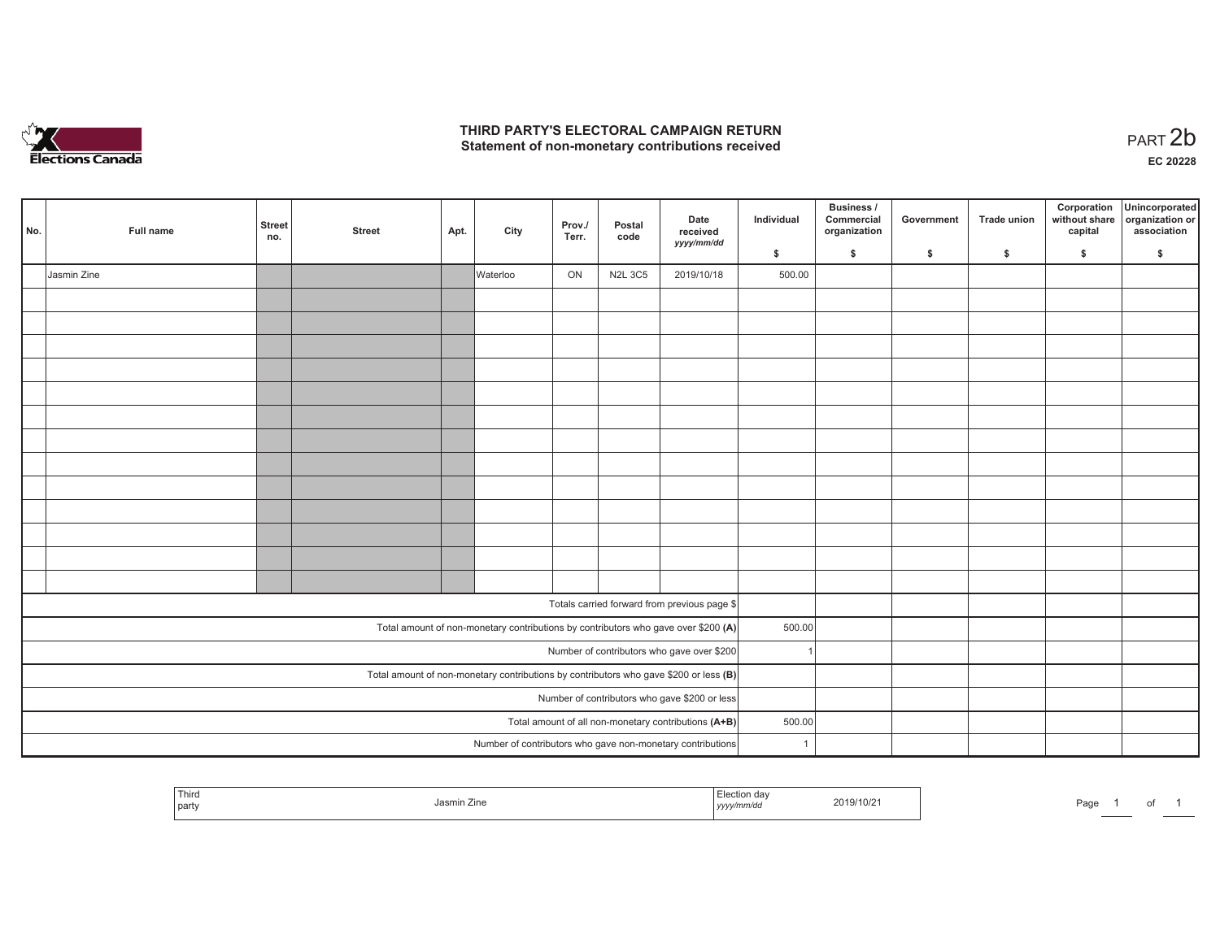

## **THIRD PARTY'S ELECTORAL CAMPAIGN RETURN**  THIRD PARTY'S ELECTORAL CAMPAIGN RETURN<br>Statement of non-monetary contributions received<br> **PART 2b**

| No. | Full name   | <b>Street</b><br>no. | <b>Street</b> | Apt. | City     | Prov./<br>Terr. | Postal<br>code | Date<br>received                                                                      | Individual     | <b>Business /</b><br>Commercial<br>organization | Government | Trade union | Corporation<br>without share<br>capital | Unincorporated<br>organization or<br>association |
|-----|-------------|----------------------|---------------|------|----------|-----------------|----------------|---------------------------------------------------------------------------------------|----------------|-------------------------------------------------|------------|-------------|-----------------------------------------|--------------------------------------------------|
|     |             |                      |               |      |          |                 |                | yyyy/mm/dd                                                                            | \$             | \$                                              | \$         | \$          | \$                                      | \$                                               |
|     | Jasmin Zine |                      |               |      | Waterloo | ON              | <b>N2L 3C5</b> | 2019/10/18                                                                            | 500.00         |                                                 |            |             |                                         |                                                  |
|     |             |                      |               |      |          |                 |                |                                                                                       |                |                                                 |            |             |                                         |                                                  |
|     |             |                      |               |      |          |                 |                |                                                                                       |                |                                                 |            |             |                                         |                                                  |
|     |             |                      |               |      |          |                 |                |                                                                                       |                |                                                 |            |             |                                         |                                                  |
|     |             |                      |               |      |          |                 |                |                                                                                       |                |                                                 |            |             |                                         |                                                  |
|     |             |                      |               |      |          |                 |                |                                                                                       |                |                                                 |            |             |                                         |                                                  |
|     |             |                      |               |      |          |                 |                |                                                                                       |                |                                                 |            |             |                                         |                                                  |
|     |             |                      |               |      |          |                 |                |                                                                                       |                |                                                 |            |             |                                         |                                                  |
|     |             |                      |               |      |          |                 |                |                                                                                       |                |                                                 |            |             |                                         |                                                  |
|     |             |                      |               |      |          |                 |                |                                                                                       |                |                                                 |            |             |                                         |                                                  |
|     |             |                      |               |      |          |                 |                |                                                                                       |                |                                                 |            |             |                                         |                                                  |
|     |             |                      |               |      |          |                 |                |                                                                                       |                |                                                 |            |             |                                         |                                                  |
|     |             |                      |               |      |          |                 |                |                                                                                       |                |                                                 |            |             |                                         |                                                  |
|     |             |                      |               |      |          |                 |                |                                                                                       |                |                                                 |            |             |                                         |                                                  |
|     |             |                      |               |      |          |                 |                |                                                                                       |                |                                                 |            |             |                                         |                                                  |
|     |             |                      |               |      |          |                 |                | Totals carried forward from previous page \$                                          |                |                                                 |            |             |                                         |                                                  |
|     |             |                      |               |      |          |                 |                | Total amount of non-monetary contributions by contributors who gave over \$200 (A)    | 500.00         |                                                 |            |             |                                         |                                                  |
|     |             |                      |               |      |          |                 |                | Number of contributors who gave over \$200                                            |                |                                                 |            |             |                                         |                                                  |
|     |             |                      |               |      |          |                 |                | Total amount of non-monetary contributions by contributors who gave \$200 or less (B) |                |                                                 |            |             |                                         |                                                  |
|     |             |                      |               |      |          |                 |                | Number of contributors who gave \$200 or less                                         |                |                                                 |            |             |                                         |                                                  |
|     |             |                      |               |      |          |                 |                | Total amount of all non-monetary contributions (A+B)                                  | 500.00         |                                                 |            |             |                                         |                                                  |
|     |             |                      |               |      |          |                 |                | Number of contributors who gave non-monetary contributions                            | $\overline{1}$ |                                                 |            |             |                                         |                                                  |

|  | Third<br>part | Jasmın ∠ıne | Election day<br>.<br>, yyyymm⁄aa | 2019/10/2 | Page<br>______ |  | ັບ |  |
|--|---------------|-------------|----------------------------------|-----------|----------------|--|----|--|
|--|---------------|-------------|----------------------------------|-----------|----------------|--|----|--|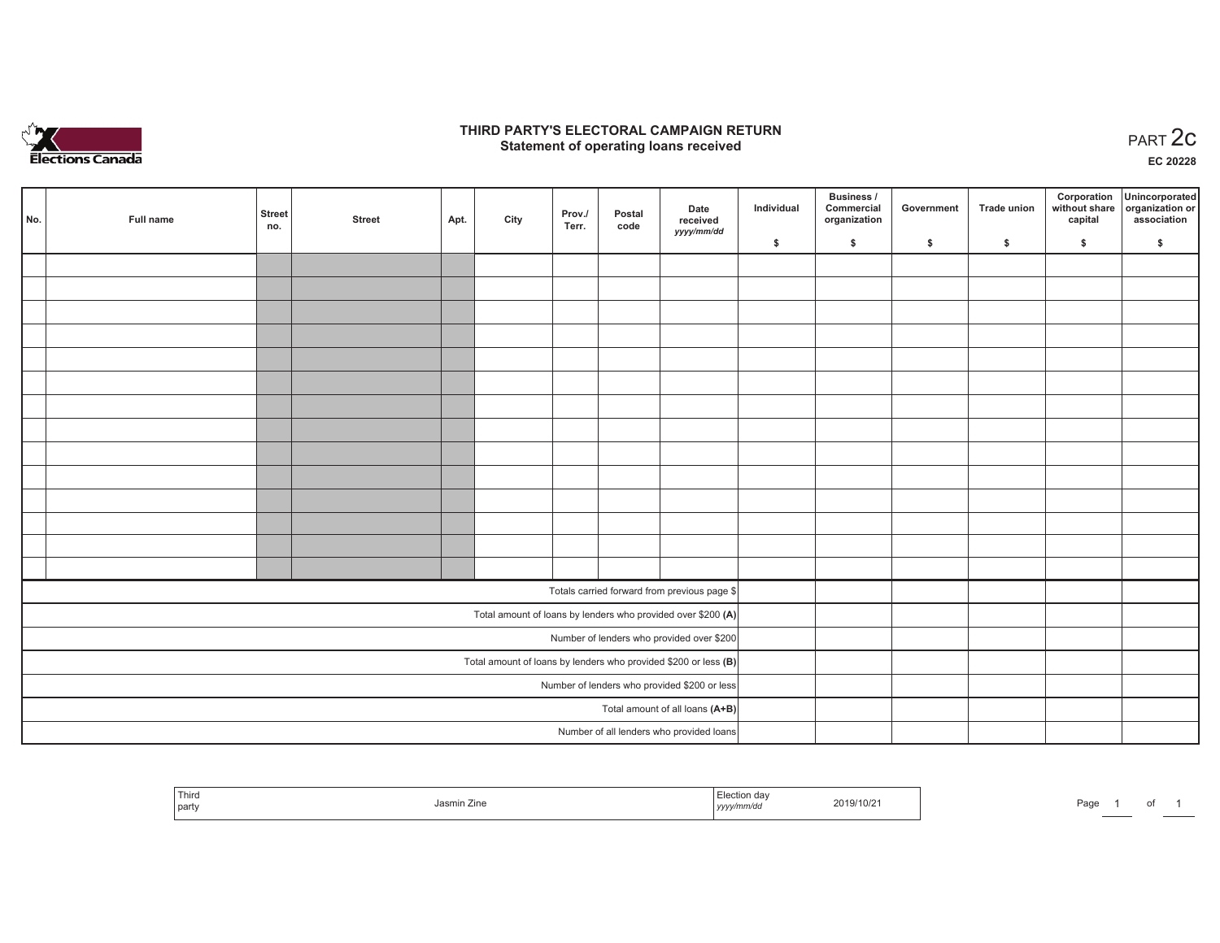

## **THIRD PARTY'S ELECTORAL CAMPAIGN RETURN STATE:** PARTY'S ELECTORAL CAMPAIGN RETURN<br>
Statement of operating loans received

**EC 20228**

|     |           |                      |               |      |      |                 |                |                                                                 |            | Business /                 |            |              | Corporation | Unincorporated                               |
|-----|-----------|----------------------|---------------|------|------|-----------------|----------------|-----------------------------------------------------------------|------------|----------------------------|------------|--------------|-------------|----------------------------------------------|
| No. | Full name | <b>Street</b><br>no. | <b>Street</b> | Apt. | City | Prov./<br>Terr. | Postal<br>code | Date<br>received                                                | Individual | Commercial<br>organization | Government | Trade union  | capital     | without share organization or<br>association |
|     |           |                      |               |      |      |                 |                | yyyy/mm/dd                                                      | \$         | \$                         | \$         | $\mathsf{s}$ | \$          | \$                                           |
|     |           |                      |               |      |      |                 |                |                                                                 |            |                            |            |              |             |                                              |
|     |           |                      |               |      |      |                 |                |                                                                 |            |                            |            |              |             |                                              |
|     |           |                      |               |      |      |                 |                |                                                                 |            |                            |            |              |             |                                              |
|     |           |                      |               |      |      |                 |                |                                                                 |            |                            |            |              |             |                                              |
|     |           |                      |               |      |      |                 |                |                                                                 |            |                            |            |              |             |                                              |
|     |           |                      |               |      |      |                 |                |                                                                 |            |                            |            |              |             |                                              |
|     |           |                      |               |      |      |                 |                |                                                                 |            |                            |            |              |             |                                              |
|     |           |                      |               |      |      |                 |                |                                                                 |            |                            |            |              |             |                                              |
|     |           |                      |               |      |      |                 |                |                                                                 |            |                            |            |              |             |                                              |
|     |           |                      |               |      |      |                 |                |                                                                 |            |                            |            |              |             |                                              |
|     |           |                      |               |      |      |                 |                |                                                                 |            |                            |            |              |             |                                              |
|     |           |                      |               |      |      |                 |                |                                                                 |            |                            |            |              |             |                                              |
|     |           |                      |               |      |      |                 |                |                                                                 |            |                            |            |              |             |                                              |
|     |           |                      |               |      |      |                 |                |                                                                 |            |                            |            |              |             |                                              |
|     |           |                      |               |      |      |                 |                | Totals carried forward from previous page \$                    |            |                            |            |              |             |                                              |
|     |           |                      |               |      |      |                 |                | Total amount of loans by lenders who provided over \$200 (A)    |            |                            |            |              |             |                                              |
|     |           |                      |               |      |      |                 |                | Number of lenders who provided over \$200                       |            |                            |            |              |             |                                              |
|     |           |                      |               |      |      |                 |                | Total amount of loans by lenders who provided \$200 or less (B) |            |                            |            |              |             |                                              |
|     |           |                      |               |      |      |                 |                | Number of lenders who provided \$200 or less                    |            |                            |            |              |             |                                              |
|     |           |                      |               |      |      |                 |                | Total amount of all loans (A+B)                                 |            |                            |            |              |             |                                              |
|     |           |                      |               |      |      |                 |                | Number of all lenders who provided loans                        |            |                            |            |              |             |                                              |

| Third<br>. partv |  | Jasmin<br>Zine | .<br>yyyymmvaa | 2019/10/21<br>the contract of the contract of the contract of the contract of the contract of | Page |  | $\cdot$ |  |
|------------------|--|----------------|----------------|-----------------------------------------------------------------------------------------------|------|--|---------|--|
|------------------|--|----------------|----------------|-----------------------------------------------------------------------------------------------|------|--|---------|--|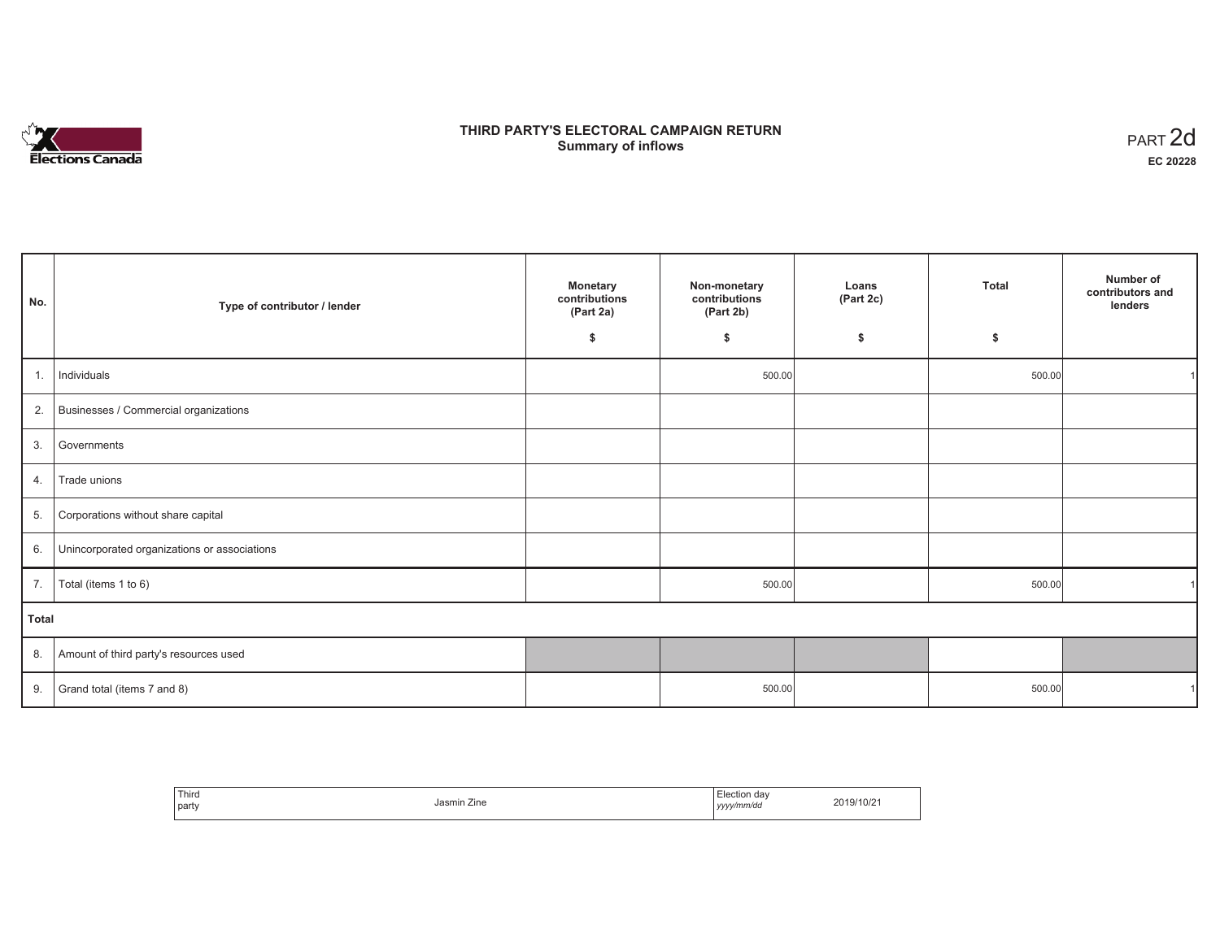

# **THIRD PARTY'S ELECTORAL CAMPAIGN RETURN S** ELECTORAL CAMPAIGN RETURN<br>Summary of inflows PART 2d

| No.   | Type of contributor / lender                    | <b>Monetary</b><br>contributions<br>(Part 2a) | Non-monetary<br>contributions<br>(Part 2b) | Loans<br>(Part 2c) | <b>Total</b> | Number of<br>contributors and<br>lenders |
|-------|-------------------------------------------------|-----------------------------------------------|--------------------------------------------|--------------------|--------------|------------------------------------------|
|       |                                                 | \$                                            | \$                                         | \$                 | \$           |                                          |
| 1.    | Individuals                                     |                                               | 500.00                                     |                    | 500.00       |                                          |
|       | 2. Businesses / Commercial organizations        |                                               |                                            |                    |              |                                          |
| 3.    | Governments                                     |                                               |                                            |                    |              |                                          |
| 4.    | Trade unions                                    |                                               |                                            |                    |              |                                          |
| 5.    | Corporations without share capital              |                                               |                                            |                    |              |                                          |
|       | 6. Unincorporated organizations or associations |                                               |                                            |                    |              |                                          |
| 7.    | Total (items 1 to 6)                            |                                               | 500.00                                     |                    | 500.00       |                                          |
| Total |                                                 |                                               |                                            |                    |              |                                          |
|       | 8. Amount of third party's resources used       |                                               |                                            |                    |              |                                          |
| 9.    | Grand total (items 7 and 8)                     |                                               | 500.00                                     |                    | 500.00       |                                          |

| ' Third<br>  party | Jasmin Zine | Election day<br>yyyy/mm/dd | 2019/10/21 |
|--------------------|-------------|----------------------------|------------|
|--------------------|-------------|----------------------------|------------|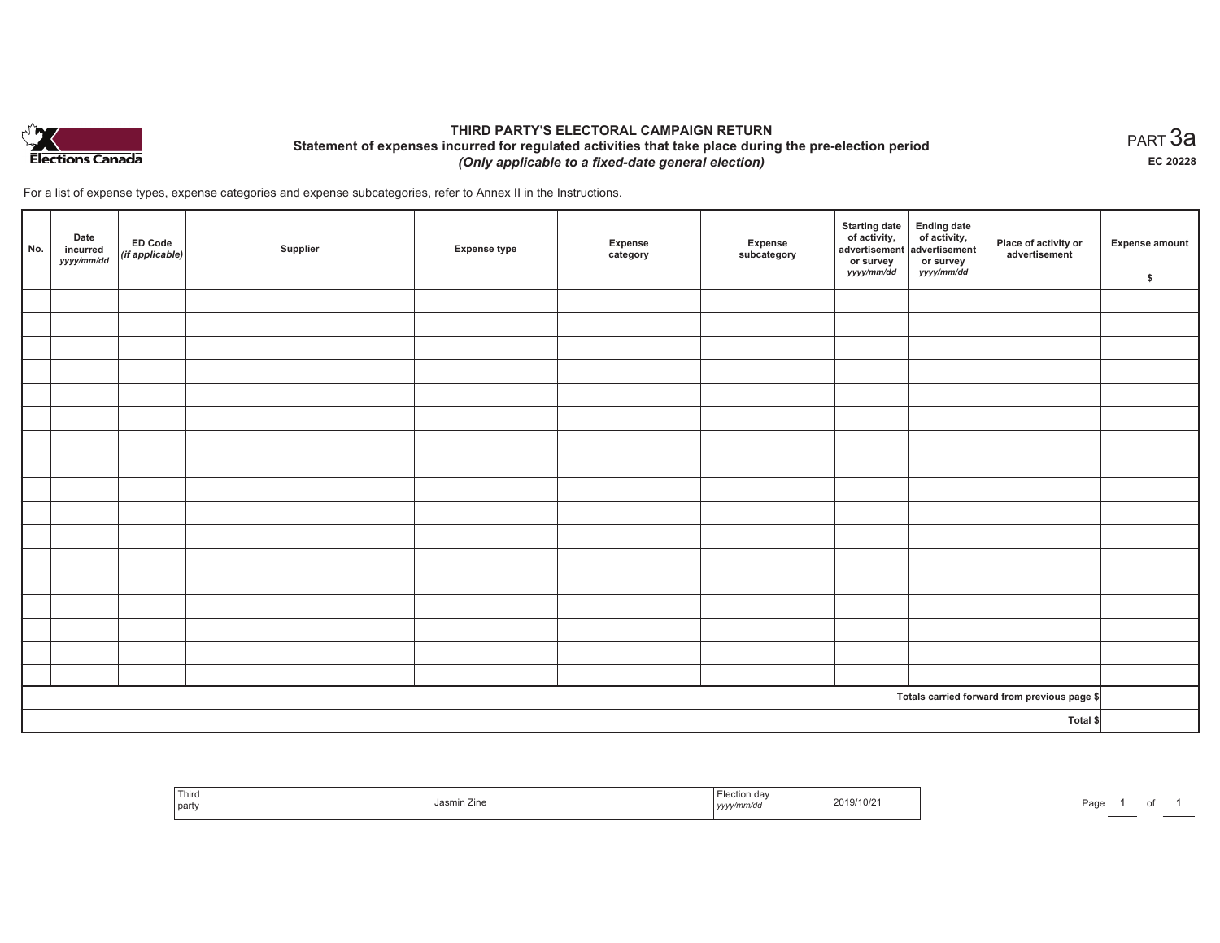

## **THIRD PARTY'S ELECTORAL CAMPAIGN RETURN Statement of expenses incurred for regulated activities that take place during the pre-election period**  *(Only applicable to a fixed-date general election)*

For a list of expense types, expense categories and expense subcategories, refer to Annex II in the Instructions.

| No.      | Date<br>incurred<br>yyyy/mm/dd | <b>ED Code</b><br>$($ if applicable $)$ | Supplier | <b>Expense type</b> | Expense<br>category | Expense<br>subcategory | <b>Starting date</b><br>of activity,<br>advertisement<br>or survey<br>yyyy/mm/dd | Ending date<br>of activity,<br>advertisement<br>or survey<br>yyyy/mm/dd | Place of activity or<br>advertisement        | <b>Expense amount</b><br>\$ |
|----------|--------------------------------|-----------------------------------------|----------|---------------------|---------------------|------------------------|----------------------------------------------------------------------------------|-------------------------------------------------------------------------|----------------------------------------------|-----------------------------|
|          |                                |                                         |          |                     |                     |                        |                                                                                  |                                                                         |                                              |                             |
|          |                                |                                         |          |                     |                     |                        |                                                                                  |                                                                         |                                              |                             |
|          |                                |                                         |          |                     |                     |                        |                                                                                  |                                                                         |                                              |                             |
|          |                                |                                         |          |                     |                     |                        |                                                                                  |                                                                         |                                              |                             |
|          |                                |                                         |          |                     |                     |                        |                                                                                  |                                                                         |                                              |                             |
|          |                                |                                         |          |                     |                     |                        |                                                                                  |                                                                         |                                              |                             |
|          |                                |                                         |          |                     |                     |                        |                                                                                  |                                                                         |                                              |                             |
|          |                                |                                         |          |                     |                     |                        |                                                                                  |                                                                         |                                              |                             |
|          |                                |                                         |          |                     |                     |                        |                                                                                  |                                                                         |                                              |                             |
|          |                                |                                         |          |                     |                     |                        |                                                                                  |                                                                         |                                              |                             |
|          |                                |                                         |          |                     |                     |                        |                                                                                  |                                                                         |                                              |                             |
|          |                                |                                         |          |                     |                     |                        |                                                                                  |                                                                         |                                              |                             |
|          |                                |                                         |          |                     |                     |                        |                                                                                  |                                                                         |                                              |                             |
|          |                                |                                         |          |                     |                     |                        |                                                                                  |                                                                         |                                              |                             |
|          |                                |                                         |          |                     |                     |                        |                                                                                  |                                                                         |                                              |                             |
|          |                                |                                         |          |                     |                     |                        |                                                                                  |                                                                         |                                              |                             |
|          |                                |                                         |          |                     |                     |                        |                                                                                  |                                                                         |                                              |                             |
|          |                                |                                         |          |                     |                     |                        |                                                                                  |                                                                         | Totals carried forward from previous page \$ |                             |
| Total \$ |                                |                                         |          |                     |                     |                        |                                                                                  |                                                                         |                                              |                             |

| <sup>l</sup> Third<br>l party | Jasmin Zine | Election day<br>2019/10/21<br>.<br>yyyy/mm/dd | Paɑɾ |
|-------------------------------|-------------|-----------------------------------------------|------|
|-------------------------------|-------------|-----------------------------------------------|------|

 $_{\sf PART}$ 3a **EC 20228**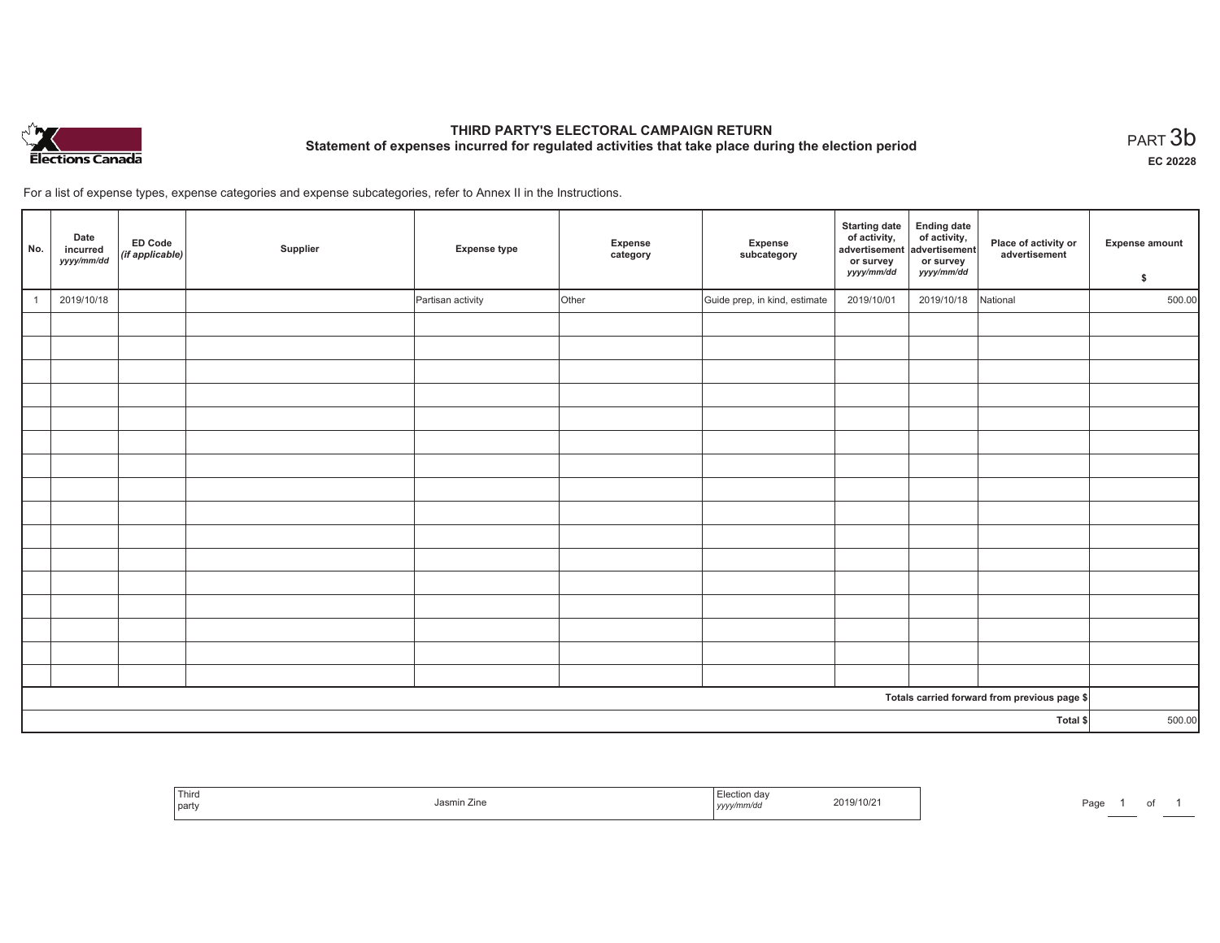

# **THIRD PARTY'S ELECTORAL CAMPAIGN RETURN Statement of expenses incurred for regulated activities that take place during the election period**<br>PART  $3\mathsf{b}$

**EC 20228**

For a list of expense types, expense categories and expense subcategories, refer to Annex II in the Instructions.

| No.      | Date<br>incurred<br>yyyy/mm/dd | ED Code<br>(if applicable) | Supplier | <b>Expense type</b> | Expense<br>category | Expense<br>subcategory        | <b>Starting date</b><br>of activity,<br>advertisement<br>or survey<br>yyyy/mm/dd | Ending date<br>of activity,<br>advertisement<br>or survey<br>yyyy/mm/dd | Place of activity or<br>advertisement        | <b>Expense amount</b><br>\$ |
|----------|--------------------------------|----------------------------|----------|---------------------|---------------------|-------------------------------|----------------------------------------------------------------------------------|-------------------------------------------------------------------------|----------------------------------------------|-----------------------------|
|          | 2019/10/18                     |                            |          | Partisan activity   | Other               | Guide prep, in kind, estimate | 2019/10/01                                                                       | 2019/10/18                                                              | National                                     | 500.00                      |
|          |                                |                            |          |                     |                     |                               |                                                                                  |                                                                         |                                              |                             |
|          |                                |                            |          |                     |                     |                               |                                                                                  |                                                                         |                                              |                             |
|          |                                |                            |          |                     |                     |                               |                                                                                  |                                                                         |                                              |                             |
|          |                                |                            |          |                     |                     |                               |                                                                                  |                                                                         |                                              |                             |
|          |                                |                            |          |                     |                     |                               |                                                                                  |                                                                         |                                              |                             |
|          |                                |                            |          |                     |                     |                               |                                                                                  |                                                                         |                                              |                             |
|          |                                |                            |          |                     |                     |                               |                                                                                  |                                                                         |                                              |                             |
|          |                                |                            |          |                     |                     |                               |                                                                                  |                                                                         |                                              |                             |
|          |                                |                            |          |                     |                     |                               |                                                                                  |                                                                         |                                              |                             |
|          |                                |                            |          |                     |                     |                               |                                                                                  |                                                                         |                                              |                             |
|          |                                |                            |          |                     |                     |                               |                                                                                  |                                                                         |                                              |                             |
|          |                                |                            |          |                     |                     |                               |                                                                                  |                                                                         |                                              |                             |
|          |                                |                            |          |                     |                     |                               |                                                                                  |                                                                         |                                              |                             |
|          |                                |                            |          |                     |                     |                               |                                                                                  |                                                                         |                                              |                             |
|          |                                |                            |          |                     |                     |                               |                                                                                  |                                                                         |                                              |                             |
|          |                                |                            |          |                     |                     |                               |                                                                                  |                                                                         |                                              |                             |
|          |                                |                            |          |                     |                     |                               |                                                                                  |                                                                         | Totals carried forward from previous page \$ |                             |
| Total \$ |                                |                            |          |                     |                     | 500.00                        |                                                                                  |                                                                         |                                              |                             |

| Third<br>party | Jasmin Zine | ı uan<br>019/10/21<br>.<br>nm/dd<br>$1$ yyyy $\prime\prime$ | Page<br>0t |
|----------------|-------------|-------------------------------------------------------------|------------|
|----------------|-------------|-------------------------------------------------------------|------------|